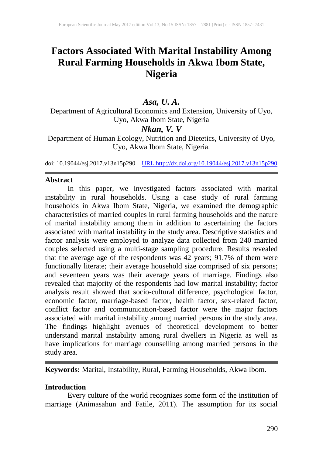# **Factors Associated With Marital Instability Among Rural Farming Households in Akwa Ibom State, Nigeria**

# *Asa, U. A.*

Department of Agricultural Economics and Extension, University of Uyo, Uyo, Akwa Ibom State, Nigeria

# *Nkan, V. V*

Department of Human Ecology, Nutrition and Dietetics, University of Uyo, Uyo, Akwa Ibom State, Nigeria.

doi: 10.19044/esj.2017.v13n15p290 [URL:http://dx.doi.org/10.19044/esj.2017.v13n15p290](http://dx.doi.org/10.19044/esj.2017.v13n15p290)

## **Abstract**

In this paper, we investigated factors associated with marital instability in rural households. Using a case study of rural farming households in Akwa Ibom State, Nigeria, we examined the demographic characteristics of married couples in rural farming households and the nature of marital instability among them in addition to ascertaining the factors associated with marital instability in the study area. Descriptive statistics and factor analysis were employed to analyze data collected from 240 married couples selected using a multi-stage sampling procedure. Results revealed that the average age of the respondents was 42 years; 91.7% of them were functionally literate; their average household size comprised of six persons; and seventeen years was their average years of marriage. Findings also revealed that majority of the respondents had low marital instability; factor analysis result showed that socio-cultural difference, psychological factor, economic factor, marriage-based factor, health factor, sex-related factor, conflict factor and communication-based factor were the major factors associated with marital instability among married persons in the study area. The findings highlight avenues of theoretical development to better understand marital instability among rural dwellers in Nigeria as well as have implications for marriage counselling among married persons in the study area.

**Keywords:** Marital, Instability, Rural, Farming Households, Akwa Ibom.

## **Introduction**

Every culture of the world recognizes some form of the institution of marriage (Animasahun and Fatile, 2011). The assumption for its social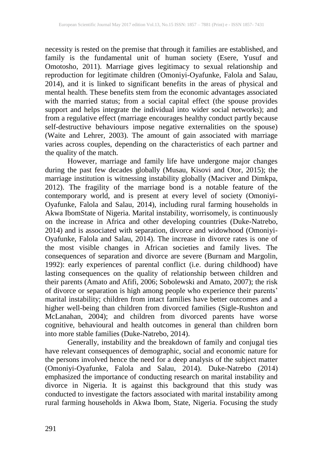necessity is rested on the premise that through it families are established, and family is the fundamental unit of human society (Esere, Yusuf and Omotosho, 2011). Marriage gives legitimacy to sexual relationship and reproduction for legitimate children (Omoniyi-Oyafunke, Falola and Salau, 2014), and it is linked to significant benefits in the areas of physical and mental health. These benefits stem from the economic advantages associated with the married status; from a social capital effect (the spouse provides support and helps integrate the individual into wider social networks); and from a regulative effect (marriage encourages healthy conduct partly because self-destructive behaviours impose negative externalities on the spouse) (Waite and Lehrer, 2003). The amount of gain associated with marriage varies across couples, depending on the characteristics of each partner and the quality of the match.

However, marriage and family life have undergone major changes during the past few decades globally (Musau, Kisovi and Otor, 2015); the marriage institution is witnessing instability globally (Maciver and Dimkpa, 2012). The fragility of the marriage bond is a notable feature of the contemporary world, and is present at every level of society (Omoniyi-Oyafunke, Falola and Salau, 2014), including rural farming households in Akwa IbomState of Nigeria. Marital instability, worrisomely, is continuously on the increase in Africa and other developing countries (Duke-Natrebo, 2014) and is associated with separation, divorce and widowhood (Omoniyi-Oyafunke, Falola and Salau, 2014). The increase in divorce rates is one of the most visible changes in African societies and family lives. The consequences of separation and divorce are severe (Burnam and Margolin, 1992): early experiences of parental conflict (i.e. during childhood) have lasting consequences on the quality of relationship between children and their parents (Amato and Afifi, 2006; Sobolewski and Amato, 2007); the risk of divorce or separation is high among people who experience their parents' marital instability; children from intact families have better outcomes and a higher well-being than children from divorced families (Sigle-Rushton and McLanahan, 2004); and children from divorced parents have worse cognitive, behavioural and health outcomes in general than children born into more stable families (Duke-Natrebo, 2014).

Generally, instability and the breakdown of family and conjugal ties have relevant consequences of demographic, social and economic nature for the persons involved hence the need for a deep analysis of the subject matter (Omoniyi-Oyafunke, Falola and Salau, 2014). Duke-Natrebo (2014) emphasized the importance of conducting research on marital instability and divorce in Nigeria. It is against this background that this study was conducted to investigate the factors associated with marital instability among rural farming households in Akwa Ibom, State, Nigeria. Focusing the study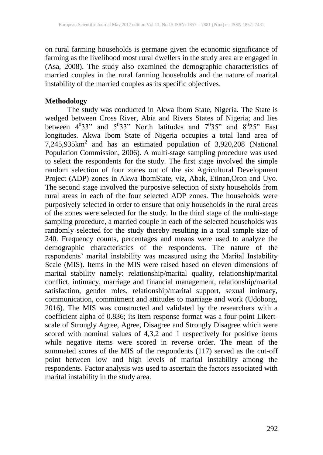on rural farming households is germane given the economic significance of farming as the livelihood most rural dwellers in the study area are engaged in (Asa, 2008). The study also examined the demographic characteristics of married couples in the rural farming households and the nature of marital instability of the married couples as its specific objectives.

### **Methodology**

The study was conducted in Akwa Ibom State, Nigeria. The State is wedged between Cross River, Abia and Rivers States of Nigeria; and lies between  $4^033$ " and  $5^033$ " North latitudes and  $7^035$ " and  $8^025$ " East longitudes. Akwa Ibom State of Nigeria occupies a total land area of  $7,245,935$ km<sup>2</sup> and has an estimated population of  $3,920,208$  (National Population Commission, 2006). A multi-stage sampling procedure was used to select the respondents for the study. The first stage involved the simple random selection of four zones out of the six Agricultural Development Project (ADP) zones in Akwa IbomState, viz, Abak, Etinan,Oron and Uyo. The second stage involved the purposive selection of sixty households from rural areas in each of the four selected ADP zones. The households were purposively selected in order to ensure that only households in the rural areas of the zones were selected for the study. In the third stage of the multi-stage sampling procedure, a married couple in each of the selected households was randomly selected for the study thereby resulting in a total sample size of 240. Frequency counts, percentages and means were used to analyze the demographic characteristics of the respondents. The nature of the respondents' marital instability was measured using the Marital Instability Scale (MIS). Items in the MIS were raised based on eleven dimensions of marital stability namely: relationship/marital quality, relationship/marital conflict, intimacy, marriage and financial management, relationship/marital satisfaction, gender roles, relationship/marital support, sexual intimacy, communication, commitment and attitudes to marriage and work (Udobong, 2016). The MIS was constructed and validated by the researchers with a coefficient alpha of 0.836; its item response format was a four-point Likertscale of Strongly Agree, Agree, Disagree and Strongly Disagree which were scored with nominal values of 4,3,2 and 1 respectively for positive items while negative items were scored in reverse order. The mean of the summated scores of the MIS of the respondents (117) served as the cut-off point between low and high levels of marital instability among the respondents. Factor analysis was used to ascertain the factors associated with marital instability in the study area.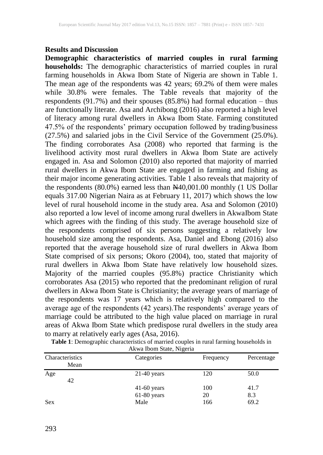#### **Results and Discussion**

**Demographic characteristics of married couples in rural farming households:** The demographic characteristics of married couples in rural farming households in Akwa Ibom State of Nigeria are shown in Table 1. The mean age of the respondents was 42 years; 69.2% of them were males while 30.8% were females. The Table reveals that majority of the respondents (91.7%) and their spouses (85.8%) had formal education – thus are functionally literate. Asa and Archibong (2016) also reported a high level of literacy among rural dwellers in Akwa Ibom State. Farming constituted 47.5% of the respondents' primary occupation followed by trading/business (27.5%) and salaried jobs in the Civil Service of the Government (25.0%). The finding corroborates Asa (2008) who reported that farming is the livelihood activity most rural dwellers in Akwa Ibom State are actively engaged in. Asa and Solomon (2010) also reported that majority of married rural dwellers in Akwa Ibom State are engaged in farming and fishing as their major income generating activities. Table 1 also reveals that majority of the respondents  $(80.0\%)$  earned less than  $\frac{N}{40,001.00}$  monthly  $(1 \text{ US Dollar})$ equals 317.00 Nigerian Naira as at February 11, 2017) which shows the low level of rural household income in the study area. Asa and Solomon (2010) also reported a low level of income among rural dwellers in AkwaIbom State which agrees with the finding of this study. The average household size of the respondents comprised of six persons suggesting a relatively low household size among the respondents. Asa, Daniel and Ebong (2016) also reported that the average household size of rural dwellers in Akwa Ibom State comprised of six persons; Okoro (2004), too, stated that majority of rural dwellers in Akwa Ibom State have relatively low household sizes. Majority of the married couples (95.8%) practice Christianity which corroborates Asa (2015) who reported that the predominant religion of rural dwellers in Akwa Ibom State is Christianity; the average years of marriage of the respondents was 17 years which is relatively high compared to the average age of the respondents (42 years).The respondents' average years of marriage could be attributed to the high value placed on marriage in rural areas of Akwa Ibom State which predispose rural dwellers in the study area to marry at relatively early ages (Asa, 2016).

| <b>Table 1:</b> Demographic characteristics of married couples in rural farming households in |
|-----------------------------------------------------------------------------------------------|
| Akwa Ibom State, Nigeria                                                                      |

| $1.44$ measured, $1.44$ error |               |           |            |  |  |
|-------------------------------|---------------|-----------|------------|--|--|
| Characteristics               | Categories    | Frequency | Percentage |  |  |
| Mean                          |               |           |            |  |  |
| Age                           | $21-40$ years | 120       | 50.0       |  |  |
| 42                            |               |           |            |  |  |
|                               | $41-60$ years | 100       | 41.7       |  |  |
|                               | 61-80 years   | 20        | 8.3        |  |  |
| <b>Sex</b>                    | Male          | 166       | 69.2       |  |  |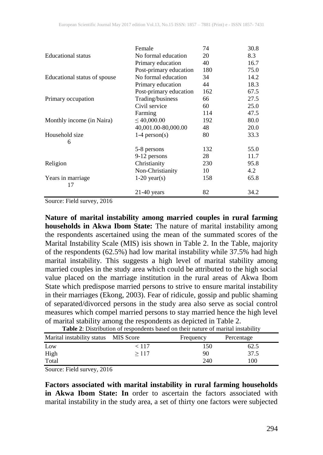|                              | Female                 | 74  | 30.8 |
|------------------------------|------------------------|-----|------|
| <b>Educational</b> status    | No formal education    | 20  | 8.3  |
|                              | Primary education      | 40  | 16.7 |
|                              | Post-primary education | 180 | 75.0 |
| Educational status of spouse | No formal education    | 34  | 14.2 |
|                              | Primary education      | 44  | 18.3 |
|                              | Post-primary education | 162 | 67.5 |
| Primary occupation           | Trading/business       | 66  | 27.5 |
|                              | Civil service          | 60  | 25.0 |
|                              | Farming                | 114 | 47.5 |
| Monthly income (in Naira)    | $\leq 40,000.00$       | 192 | 80.0 |
|                              | 40,001.00-80,000.00    | 48  | 20.0 |
| Household size               | $1-4$ person(s)        | 80  | 33.3 |
| 6                            |                        |     |      |
|                              | 5-8 persons            | 132 | 55.0 |
|                              | 9-12 persons           | 28  | 11.7 |
| Religion                     | Christianity           | 230 | 95.8 |
|                              | Non-Christianity       | 10  | 4.2  |
| Years in marriage            | $1-20$ year(s)         | 158 | 65.8 |
| 17                           |                        |     |      |
|                              | $21-40$ years          | 82  | 34.2 |

Source: Field survey, 2016

**Nature of marital instability among married couples in rural farming households in Akwa Ibom State:** The nature of marital instability among the respondents ascertained using the mean of the summated scores of the Marital Instability Scale (MIS) isis shown in Table 2. In the Table, majority of the respondents (62.5%) had low marital instability while 37.5% had high marital instability. This suggests a high level of marital stability among married couples in the study area which could be attributed to the high social value placed on the marriage institution in the rural areas of Akwa Ibom State which predispose married persons to strive to ensure marital instability in their marriages (Ekong, 2003). Fear of ridicule, gossip and public shaming of separated/divorced persons in the study area also serve as social control measures which compel married persons to stay married hence the high level of marital stability among the respondents as depicted in Table 2.

| <b>Table 2.</b> Distribution of respondents based on their nature of maritar instablity |       |           |            |  |  |
|-----------------------------------------------------------------------------------------|-------|-----------|------------|--|--|
| Marital instability status MIS Score                                                    |       | Frequency | Percentage |  |  |
| Low                                                                                     | < 117 | 150       | 62.5       |  |  |
| High                                                                                    | >117  | 90        | 37.5       |  |  |
| Total                                                                                   |       | 240       | 100        |  |  |

**Table 2**: Distribution of respondents based on their nature of marital instability

Source: Field survey, 2016

**Factors associated with marital instability in rural farming households in Akwa Ibom State: In** order to ascertain the factors associated with marital instability in the study area, a set of thirty one factors were subjected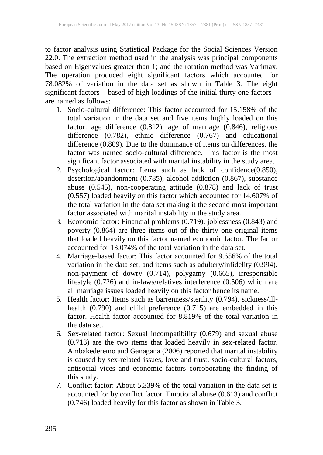to factor analysis using Statistical Package for the Social Sciences Version 22.0. The extraction method used in the analysis was principal components based on Eigenvalues greater than 1; and the rotation method was Varimax. The operation produced eight significant factors which accounted for 78.082% of variation in the data set as shown in Table 3. The eight significant factors – based of high loadings of the initial thirty one factors – are named as follows:

- 1. Socio-cultural difference: This factor accounted for 15.158% of the total variation in the data set and five items highly loaded on this factor: age difference (0.812), age of marriage (0.846), religious difference (0.782), ethnic difference (0.767) and educational difference (0.809). Due to the dominance of items on differences, the factor was named socio-cultural difference. This factor is the most significant factor associated with marital instability in the study area.
- 2. Psychological factor: Items such as lack of confidence(0.850), desertion/abandonment (0.785), alcohol addiction (0.867), substance abuse (0.545), non-cooperating attitude (0.878) and lack of trust (0.557) loaded heavily on this factor which accounted for 14.607% of the total variation in the data set making it the second most important factor associated with marital instability in the study area.
- 3. Economic factor: Financial problems (0.719), joblessness (0.843) and poverty (0.864) are three items out of the thirty one original items that loaded heavily on this factor named economic factor. The factor accounted for 13.074% of the total variation in the data set.
- 4. Marriage-based factor: This factor accounted for 9.656% of the total variation in the data set; and items such as adultery/infidelity (0.994), non-payment of dowry (0.714), polygamy (0.665), irresponsible lifestyle (0.726) and in-laws/relatives interference (0.506) which are all marriage issues loaded heavily on this factor hence its name.
- 5. Health factor: Items such as barrenness/sterility (0.794), sickness/illhealth (0.790) and child preference (0.715) are embedded in this factor. Health factor accounted for 8.819% of the total variation in the data set.
- 6. Sex-related factor: Sexual incompatibility (0.679) and sexual abuse (0.713) are the two items that loaded heavily in sex-related factor. Ambakederemo and Ganagana (2006) reported that marital instability is caused by sex-related issues, love and trust, socio-cultural factors, antisocial vices and economic factors corroborating the finding of this study.
- 7. Conflict factor: About 5.339% of the total variation in the data set is accounted for by conflict factor. Emotional abuse (0.613) and conflict (0.746) loaded heavily for this factor as shown in Table 3.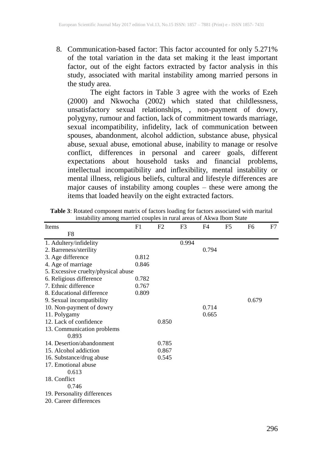8. Communication-based factor: This factor accounted for only 5.271% of the total variation in the data set making it the least important factor, out of the eight factors extracted by factor analysis in this study, associated with marital instability among married persons in the study area.

The eight factors in Table 3 agree with the works of Ezeh (2000) and Nkwocha (2002) which stated that childlessness, unsatisfactory sexual relationships, , non-payment of dowry, polygyny, rumour and faction, lack of commitment towards marriage, sexual incompatibility, infidelity, lack of communication between spouses, abandonment, alcohol addiction, substance abuse, physical abuse, sexual abuse, emotional abuse, inability to manage or resolve conflict, differences in personal and career goals, different expectations about household tasks and financial problems, intellectual incompatibility and inflexibility, mental instability or mental illness, religious beliefs, cultural and lifestyle differences are major causes of instability among couples – these were among the items that loaded heavily on the eight extracted factors.

| Items                               | F1    | F <sub>2</sub> | F3    | F4    | F5 | F <sub>6</sub> | F7 |
|-------------------------------------|-------|----------------|-------|-------|----|----------------|----|
| F8                                  |       |                |       |       |    |                |    |
| 1. Adultery/infidelity              |       |                | 0.994 |       |    |                |    |
| 2. Barreness/sterility              |       |                |       | 0.794 |    |                |    |
| 3. Age difference                   | 0.812 |                |       |       |    |                |    |
| 4. Age of marriage                  | 0.846 |                |       |       |    |                |    |
| 5. Excessive cruelty/physical abuse |       |                |       |       |    |                |    |
| 6. Religious difference             | 0.782 |                |       |       |    |                |    |
| 7. Ethnic difference                | 0.767 |                |       |       |    |                |    |
| 8. Educational difference           | 0.809 |                |       |       |    |                |    |
| 9. Sexual incompatibility           |       |                |       |       |    | 0.679          |    |
| 10. Non-payment of dowry            |       |                |       | 0.714 |    |                |    |
| 11. Polygamy                        |       |                |       | 0.665 |    |                |    |
| 12. Lack of confidence              |       | 0.850          |       |       |    |                |    |
| 13. Communication problems          |       |                |       |       |    |                |    |
| 0.893                               |       |                |       |       |    |                |    |
| 14. Desertion/abandonment           |       | 0.785          |       |       |    |                |    |
| 15. Alcohol addiction               |       | 0.867          |       |       |    |                |    |
| 16. Substance/drug abuse            |       | 0.545          |       |       |    |                |    |
| 17. Emotional abuse                 |       |                |       |       |    |                |    |
| 0.613                               |       |                |       |       |    |                |    |
| 18. Conflict                        |       |                |       |       |    |                |    |
| 0.746                               |       |                |       |       |    |                |    |
| 19. Personality differences         |       |                |       |       |    |                |    |
| 20. Career differences              |       |                |       |       |    |                |    |
|                                     |       |                |       |       |    |                |    |

**Table 3**: Rotated component matrix of factors loading for factors associated with marital instability among married couples in rural areas of Akwa Ibom State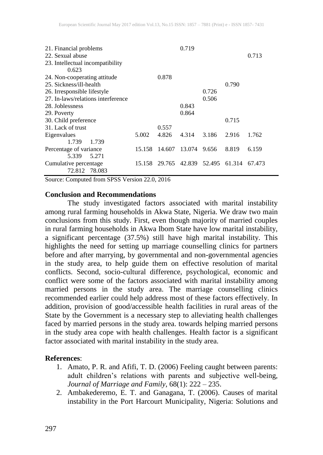| 21. Financial problems<br>22. Sexual abuse<br>23. Intellectual incompatibility<br>0.623 |        |        | 0.719                |       |        | 0.713  |
|-----------------------------------------------------------------------------------------|--------|--------|----------------------|-------|--------|--------|
| 24. Non-cooperating attitude                                                            |        | 0.878  |                      |       |        |        |
| 25. Sickness/ill-health                                                                 |        |        |                      |       | 0.790  |        |
| 26. Irresponsible lifestyle                                                             |        |        |                      | 0.726 |        |        |
| 27. In-laws/relations interference                                                      |        |        |                      | 0.506 |        |        |
| 28. Joblessness                                                                         |        |        | 0.843                |       |        |        |
| 29. Poverty                                                                             |        |        | 0.864                |       |        |        |
| 30. Child preference                                                                    |        |        |                      |       | 0.715  |        |
| 31. Lack of trust                                                                       |        | 0.557  |                      |       |        |        |
| Eigenvalues                                                                             | 5.002  | 4.826  | 4.314                | 3.186 | 2.916  | 1.762  |
| 1.739<br>1.739                                                                          |        |        |                      |       |        |        |
| Percentage of variance                                                                  | 15.158 | 14.607 | 13.074               | 9.656 | 8.819  | 6.159  |
| 5.271<br>5.339                                                                          |        |        |                      |       |        |        |
| Cumulative percentage                                                                   | 15.158 |        | 29.765 42.839 52.495 |       | 61.314 | 67.473 |
| 78.083<br>72.812                                                                        |        |        |                      |       |        |        |

Source: Computed from SPSS Version 22.0, 2016

#### **Conclusion and Recommendations**

The study investigated factors associated with marital instability among rural farming households in Akwa State, Nigeria. We draw two main conclusions from this study. First, even though majority of married couples in rural farming households in Akwa Ibom State have low marital instability, a significant percentage (37.5%) still have high marital instability. This highlights the need for setting up marriage counselling clinics for partners before and after marrying, by governmental and non-governmental agencies in the study area, to help guide them on effective resolution of marital conflicts. Second, socio-cultural difference, psychological, economic and conflict were some of the factors associated with marital instability among married persons in the study area. The marriage counselling clinics recommended earlier could help address most of these factors effectively. In addition, provision of good/accessible health facilities in rural areas of the State by the Government is a necessary step to alleviating health challenges faced by married persons in the study area. towards helping married persons in the study area cope with health challenges. Health factor is a significant factor associated with marital instability in the study area.

#### **References**:

- 1. Amato, P. R. and Afifi, T. D. (2006) Feeling caught between parents: adult children's relations with parents and subjective well-being, *Journal of Marriage and Family*, 68(1): 222 – 235.
- 2. Ambakederemo, E. T. and Ganagana, T. (2006). Causes of marital instability in the Port Harcourt Municipality, Nigeria: Solutions and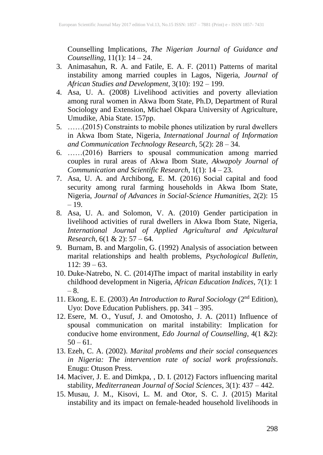Counselling Implications, *The Nigerian Journal of Guidance and Counselling*, 11(1): 14 – 24.

- 3. Animasahun, R. A. and Fatile, E. A. F. (2011) Patterns of marital instability among married couples in Lagos, Nigeria, *Journal of African Studies and Development*, 3(10): 192 – 199.
- 4. Asa, U. A. (2008) Livelihood activities and poverty alleviation among rural women in Akwa Ibom State, Ph.D, Department of Rural Sociology and Extension, Michael Okpara University of Agriculture, Umudike, Abia State. 157pp.
- 5. ……(2015) Constraints to mobile phones utilization by rural dwellers in Akwa Ibom State, Nigeria, *International Journal of Information and Communication Technology Research*, 5(2): 28 – 34.
- 6. ……(2016) Barriers to spousal communication among married couples in rural areas of Akwa Ibom State, *Akwapoly Journal of Communication and Scientific Research*, 1(1): 14 – 23.
- 7. Asa, U. A. and Archibong, E. M. (2016) Social capital and food security among rural farming households in Akwa Ibom State, Nigeria, *Journal of Advances in Social-Science Humanities*, 2(2): 15 – 19.
- 8. Asa, U. A. and Solomon, V. A. (2010) Gender participation in livelihood activities of rural dwellers in Akwa Ibom State, Nigeria, *International Journal of Applied Agricultural and Apicultural Research*, 6(1 & 2): 57 – 64.
- 9. Burnam, B. and Margolin, G. (1992) Analysis of association between marital relationships and health problems, *Psychological Bulletin*,  $112: 39 - 63.$
- 10. Duke-Natrebo, N. C. (2014)The impact of marital instability in early childhood development in Nigeria, *African Education Indices*, 7(1): 1 – 8.
- 11. Ekong, E. E. (2003) *An Introduction to Rural Sociology* (2nd Edition), Uyo: Dove Education Publishers. pp. 341 – 395.
- 12. Esere, M. O., Yusuf, J. and Omotosho, J. A. (2011) Influence of spousal communication on marital instability: Implication for conducive home environment, *Edo Journal of Counselling*, 4(1 &2):  $50 - 61$ .
- 13. Ezeh, C. A. (2002). *Marital problems and their social consequences in Nigeria: The intervention rate of social work professionals*. Enugu: Otuson Press.
- 14. Maciver, J. E. and Dimkpa, , D. I. (2012) Factors influencing marital stability, *Mediterranean Journal of Social Sciences*, 3(1): 437 – 442.
- 15. Musau, J. M., Kisovi, L. M. and Otor, S. C. J. (2015) Marital instability and its impact on female-headed household livelihoods in